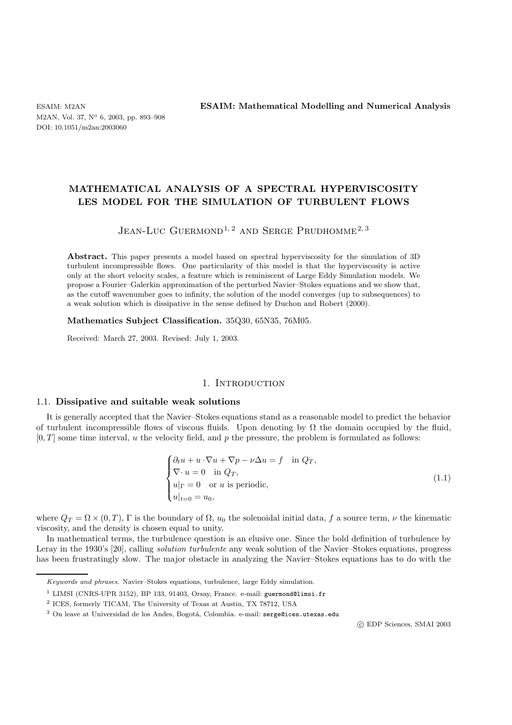M2AN, Vol. 37, N° 6, 2003, pp. 893-908 DOI: 10.1051/m2an:2003060

ESAIM: M2AN **ESAIM: Mathematical Modelling and Numerical Analysis**

# **MATHEMATICAL ANALYSIS OF A SPECTRAL HYPERVISCOSITY LES MODEL FOR THE SIMULATION OF TURBULENT FLOWS**

# JEAN-LUC GUERMOND<sup>1, 2</sup> AND SERGE PRUDHOMME<sup>2, 3</sup>

**Abstract.** This paper presents a model based on spectral hyperviscosity for the simulation of 3D turbulent incompressible flows. One particularity of this model is that the hyperviscosity is active only at the short velocity scales, a feature which is reminiscent of Large Eddy Simulation models. We propose a Fourier–Galerkin approximation of the perturbed Navier–Stokes equations and we show that, as the cutoff wavenumber goes to infinity, the solution of the model converges (up to subsequences) to a weak solution which is dissipative in the sense defined by Duchon and Robert (2000).

**Mathematics Subject Classification.** 35Q30, 65N35, 76M05.

Received: March 27, 2003. Revised: July 1, 2003.

# 1. INTRODUCTION

### 1.1. **Dissipative and suitable weak solutions**

It is generally accepted that the Navier–Stokes equations stand as a reasonable model to predict the behavior of turbulent incompressible flows of viscous fluids. Upon denoting by  $\Omega$  the domain occupied by the fluid,  $[0, T]$  some time interval, u the velocity field, and p the pressure, the problem is formulated as follows:

$$
\begin{cases} \partial_t u + u \cdot \nabla u + \nabla p - \nu \Delta u = f & \text{in } Q_T, \\ \nabla \cdot u = 0 & \text{in } Q_T, \\ u|_{\Gamma} = 0 & \text{or } u \text{ is periodic,} \\ u|_{t=0} = u_0, \end{cases}
$$
 (1.1)

where  $Q_T = \Omega \times (0,T)$ , Γ is the boundary of  $\Omega$ ,  $u_0$  the solenoidal initial data, f a source term,  $\nu$  the kinematic viscosity, and the density is chosen equal to unity.

In mathematical terms, the turbulence question is an elusive one. Since the bold definition of turbulence by Leray in the 1930's [20], calling *solution turbulente* any weak solution of the Navier–Stokes equations, progress has been frustratingly slow. The major obstacle in analyzing the Navier–Stokes equations has to do with the

c EDP Sciences, SMAI 2003

Keywords and phrases. Navier–Stokes equations, turbulence, large Eddy simulation.

<sup>&</sup>lt;sup>1</sup> LIMSI (CNRS-UPR 3152), BP 133, 91403, Orsay, France. e-mail: guermond@limsi.fr

<sup>2</sup> ICES, formerly TICAM, The University of Texas at Austin, TX 78712, USA

 $3$  On leave at Universidad de los Andes, Bogotá, Colombia. e-mail: serge@ices.utexas.edu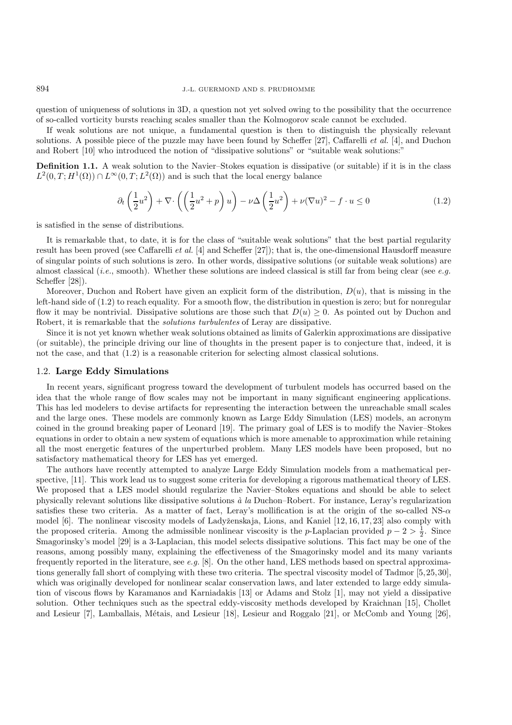question of uniqueness of solutions in 3D, a question not yet solved owing to the possibility that the occurrence of so-called vorticity bursts reaching scales smaller than the Kolmogorov scale cannot be excluded.

If weak solutions are not unique, a fundamental question is then to distinguish the physically relevant solutions. A possible piece of the puzzle may have been found by Scheffer [27], Caffarelli *et al.* [4], and Duchon and Robert [10] who introduced the notion of "dissipative solutions" or "suitable weak solutions:"

**Definition 1.1.** A weak solution to the Navier–Stokes equation is dissipative (or suitable) if it is in the class  $L^2(0,T;H^1(\Omega)) \cap L^\infty(0,T;L^2(\Omega))$  and is such that the local energy balance

$$
\partial_t \left(\frac{1}{2}u^2\right) + \nabla \cdot \left(\left(\frac{1}{2}u^2 + p\right)u\right) - \nu \Delta \left(\frac{1}{2}u^2\right) + \nu (\nabla u)^2 - f \cdot u \le 0 \tag{1.2}
$$

is satisfied in the sense of distributions.

It is remarkable that, to date, it is for the class of "suitable weak solutions" that the best partial regularity result has been proved (see Caffarelli *et al.* [4] and Scheffer [27]); that is, the one-dimensional Hausdorff measure of singular points of such solutions is zero. In other words, dissipative solutions (or suitable weak solutions) are almost classical (*i.e.*, smooth). Whether these solutions are indeed classical is still far from being clear (see *e.g.* Scheffer [28]).

Moreover, Duchon and Robert have given an explicit form of the distribution,  $D(u)$ , that is missing in the left-hand side of (1.2) to reach equality. For a smooth flow, the distribution in question is zero; but for nonregular flow it may be nontrivial. Dissipative solutions are those such that  $D(u) \geq 0$ . As pointed out by Duchon and Robert, it is remarkable that the *solutions turbulentes* of Leray are dissipative.

Since it is not yet known whether weak solutions obtained as limits of Galerkin approximations are dissipative (or suitable), the principle driving our line of thoughts in the present paper is to conjecture that, indeed, it is not the case, and that (1.2) is a reasonable criterion for selecting almost classical solutions.

#### 1.2. **Large Eddy Simulations**

In recent years, significant progress toward the development of turbulent models has occurred based on the idea that the whole range of flow scales may not be important in many significant engineering applications. This has led modelers to devise artifacts for representing the interaction between the unreachable small scales and the large ones. These models are commonly known as Large Eddy Simulation (LES) models, an acronym coined in the ground breaking paper of Leonard [19]. The primary goal of LES is to modify the Navier–Stokes equations in order to obtain a new system of equations which is more amenable to approximation while retaining all the most energetic features of the unperturbed problem. Many LES models have been proposed, but no satisfactory mathematical theory for LES has yet emerged.

The authors have recently attempted to analyze Large Eddy Simulation models from a mathematical perspective, [11]. This work lead us to suggest some criteria for developing a rigorous mathematical theory of LES. We proposed that a LES model should regularize the Navier–Stokes equations and should be able to select physically relevant solutions like dissipative solutions *`a la* Duchon–Robert. For instance, Leray's regularization satisfies these two criteria. As a matter of fact, Leray's mollification is at the origin of the so-called NS- $\alpha$ model  $[6]$ . The nonlinear viscosity models of Ladyženskaja, Lions, and Kaniel  $[12, 16, 17, 23]$  also comply with the proposed criteria. Among the admissible nonlinear viscosity is the p-Laplacian provided  $p-2 > \frac{1}{2}$ . Since Smagorinsky's model [29] is a 3-Laplacian, this model selects dissipative solutions. This fact may be one of the reasons, among possibly many, explaining the effectiveness of the Smagorinsky model and its many variants frequently reported in the literature, see *e.g.* [8]. On the other hand, LES methods based on spectral approximations generally fall short of complying with these two criteria. The spectral viscosity model of Tadmor [5,25,30], which was originally developed for nonlinear scalar conservation laws, and later extended to large eddy simulation of viscous flows by Karamanos and Karniadakis [13] or Adams and Stolz [1], may not yield a dissipative solution. Other techniques such as the spectral eddy-viscosity methods developed by Kraichnan [15], Chollet and Lesieur [7], Lamballais, Métais, and Lesieur [18], Lesieur and Roggalo [21], or McComb and Young [26],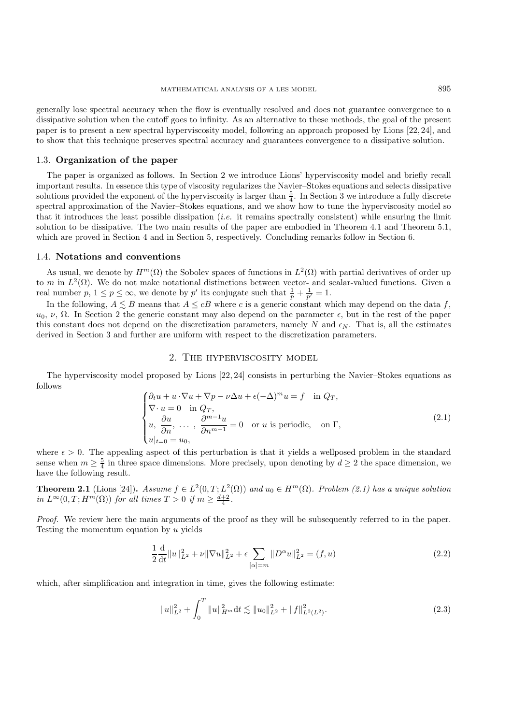generally lose spectral accuracy when the flow is eventually resolved and does not guarantee convergence to a dissipative solution when the cutoff goes to infinity. As an alternative to these methods, the goal of the present paper is to present a new spectral hyperviscosity model, following an approach proposed by Lions [22, 24], and to show that this technique preserves spectral accuracy and guarantees convergence to a dissipative solution.

#### 1.3. **Organization of the paper**

The paper is organized as follows. In Section 2 we introduce Lions' hyperviscosity model and briefly recall important results. In essence this type of viscosity regularizes the Navier–Stokes equations and selects dissipative solutions provided the exponent of the hyperviscosity is larger than  $\frac{5}{4}$ . In Section 3 we introduce a fully discrete spectral approximation of the Navier–Stokes equations, and we show how to tune the hyperviscosity model so that it introduces the least possible dissipation (*i.e.* it remains spectrally consistent) while ensuring the limit solution to be dissipative. The two main results of the paper are embodied in Theorem 4.1 and Theorem 5.1, which are proved in Section 4 and in Section 5, respectively. Concluding remarks follow in Section 6.

#### 1.4. **Notations and conventions**

As usual, we denote by  $H^m(\Omega)$  the Sobolev spaces of functions in  $L^2(\Omega)$  with partial derivatives of order up to m in  $L^2(\Omega)$ . We do not make notational distinctions between vector- and scalar-valued functions. Given a real number  $p, 1 \le p \le \infty$ , we denote by  $p'$  its conjugate such that  $\frac{1}{p} + \frac{1}{p'} = 1$ .

In the following,  $A \lesssim B$  means that  $A \leq cB$  where c is a generic constant which may depend on the data f,  $u_0, v, Ω$ . In Section 2 the generic constant may also depend on the parameter  $\epsilon$ , but in the rest of the paper this constant does not depend on the discretization parameters, namely N and  $\epsilon_N$ . That is, all the estimates derived in Section 3 and further are uniform with respect to the discretization parameters.

# 2. The hyperviscosity model

The hyperviscosity model proposed by Lions [22, 24] consists in perturbing the Navier–Stokes equations as follows

$$
\begin{cases}\n\partial_t u + u \cdot \nabla u + \nabla p - \nu \Delta u + \epsilon (-\Delta)^m u = f & \text{in } Q_T, \\
\nabla \cdot u = 0 & \text{in } Q_T, \\
u, \frac{\partial u}{\partial n}, \dots, \frac{\partial^{m-1} u}{\partial n^{m-1}} = 0 & \text{or } u \text{ is periodic}, \text{ on } \Gamma, \\
u|_{t=0} = u_0,\n\end{cases}
$$
\n(2.1)

where  $\epsilon > 0$ . The appealing aspect of this perturbation is that it yields a wellposed problem in the standard sense when  $m \geq \frac{5}{4}$  in three space dimensions. More precisely, upon denoting by  $d \geq 2$  the space dimension, we have the following result.

**Theorem 2.1** (Lions [24]). *Assume*  $f \in L^2(0,T; L^2(\Omega))$  *and*  $u_0 \in H^m(\Omega)$ *. Problem (2.1) has a unique solution in*  $L^{\infty}(0,T; H^m(\Omega))$  *for all times*  $T > 0$  *if*  $m \geq \frac{d+2}{4}$ *.* 

*Proof.* We review here the main arguments of the proof as they will be subsequently referred to in the paper. Testing the momentum equation by u yields

$$
\frac{1}{2}\frac{\mathrm{d}}{\mathrm{d}t}||u||_{L^{2}}^{2} + \nu||\nabla u||_{L^{2}}^{2} + \epsilon \sum_{[\alpha]=m}||D^{\alpha}u||_{L^{2}}^{2} = (f, u)
$$
\n(2.2)

which, after simplification and integration in time, gives the following estimate:

$$
||u||_{L^{2}}^{2} + \int_{0}^{T} ||u||_{H^{m}}^{2} dt \lesssim ||u_{0}||_{L^{2}}^{2} + ||f||_{L^{2}(L^{2})}^{2}.
$$
\n(2.3)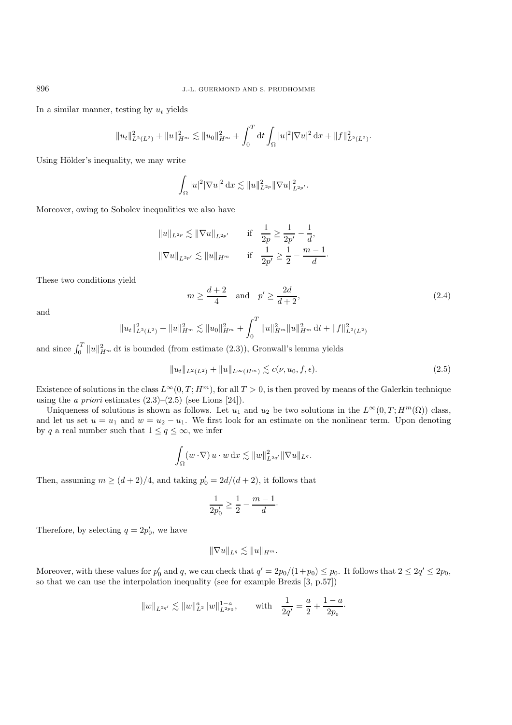In a similar manner, testing by  $u_t$  yields

$$
||u_t||_{L^2(L^2)}^2 + ||u||_{H^m}^2 \lesssim ||u_0||_{H^m}^2 + \int_0^T dt \int_{\Omega} |u|^2 |\nabla u|^2 dx + ||f||_{L^2(L^2)}^2.
$$

Using Hölder's inequality, we may write

$$
\int_{\Omega} |u|^2 |\nabla u|^2 \, \mathrm{d}x \lesssim ||u||_{L^{2p}}^2 ||\nabla u||_{L^{2p'}}^2.
$$

Moreover, owing to Sobolev inequalities we also have

$$
||u||_{L^{2p}} \lesssim ||\nabla u||_{L^{2p'}} \quad \text{if} \quad \frac{1}{2p} \ge \frac{1}{2p'} - \frac{1}{d},
$$
  

$$
||\nabla u||_{L^{2p'}} \lesssim ||u||_{H^m} \quad \text{if} \quad \frac{1}{2p'} \ge \frac{1}{2} - \frac{m-1}{d}.
$$

These two conditions yield

$$
m \ge \frac{d+2}{4} \quad \text{and} \quad p' \ge \frac{2d}{d+2},\tag{2.4}
$$

and

$$
||u_t||_{L^2(L^2)}^2 + ||u||_{H^m}^2 \lesssim ||u_0||_{H^m}^2 + \int_0^T ||u||_{H^m}^2 ||u||_{H^m}^2 dt + ||f||_{L^2(L^2)}^2
$$

and since  $\int_0^T \|u\|_{H^m}^2 dt$  is bounded (from estimate (2.3)), Gronwall's lemma yields

$$
||u_t||_{L^2(L^2)} + ||u||_{L^\infty(H^m)} \lesssim c(\nu, u_0, f, \epsilon).
$$
\n(2.5)

Existence of solutions in the class  $L^{\infty}(0, T; H^m)$ , for all  $T > 0$ , is then proved by means of the Galerkin technique using the *a priori* estimates  $(2.3)$ – $(2.5)$  (see Lions [24]).

Uniqueness of solutions is shown as follows. Let  $u_1$  and  $u_2$  be two solutions in the  $L^{\infty}(0,T; H^m(\Omega))$  class, and let us set  $u = u_1$  and  $w = u_2 - u_1$ . We first look for an estimate on the nonlinear term. Upon denoting by q a real number such that  $1 \le q \le \infty$ , we infer

$$
\int_{\Omega} (w \cdot \nabla) u \cdot w \,dx \lesssim ||w||^2_{L^{2q'}} ||\nabla u||_{L^q}.
$$

Then, assuming  $m \ge (d+2)/4$ , and taking  $p'_0 = 2d/(d+2)$ , it follows that

$$
\frac{1}{2p'_0} \ge \frac{1}{2} - \frac{m-1}{d}.
$$

Therefore, by selecting  $q = 2p'_0$ , we have

$$
\|\nabla u\|_{L^q}\lesssim \|u\|_{H^m}.
$$

Moreover, with these values for  $p'_0$  and q, we can check that  $q' = 2p_0/(1+p_0) \le p_0$ . It follows that  $2 \le 2q' \le 2p_0$ , so that we can use the interpolation inequality (see for example Brezis [3, p.57])

$$
\|w\|_{L^{2q'}}\lesssim \|w\|_{L^2}^q\|w\|_{L^{2p_0}}^{1-a},\qquad {\rm with}\quad \frac{1}{2q'}=\frac{a}{2}+\frac{1-a}{2p_0}.
$$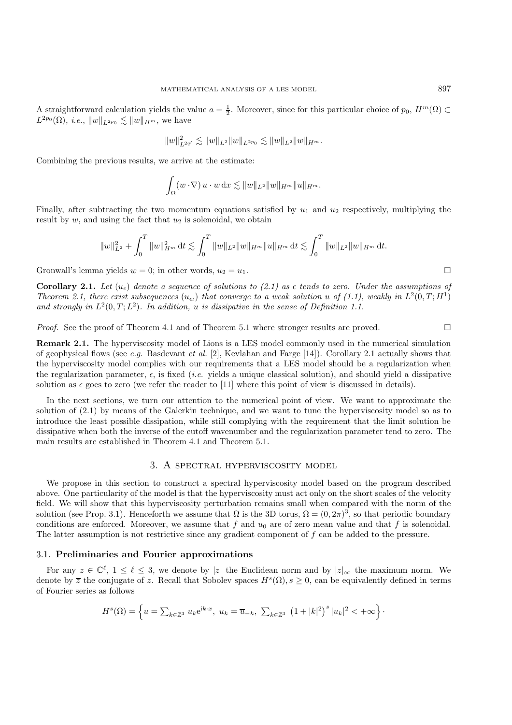A straightforward calculation yields the value  $a = \frac{1}{2}$ . Moreover, since for this particular choice of  $p_0$ ,  $H^m(\Omega) \subset$  $L^{2p_0}(\Omega)$ , *i.e.*,  $||w||_{L^{2p_0}} \lesssim ||w||_{H^m}$ , we have

$$
\|w\|_{L^{2q'}}^2\lesssim \|w\|_{L^2}\|w\|_{L^{2p_0}}\lesssim \|w\|_{L^2}\|w\|_{H^m}.
$$

Combining the previous results, we arrive at the estimate:

$$
\int_{\Omega} (w \cdot \nabla) u \cdot w \,dx \lesssim \|w\|_{L^2} \|w\|_{H^m} \|u\|_{H^m}.
$$

Finally, after subtracting the two momentum equations satisfied by  $u_1$  and  $u_2$  respectively, multiplying the result by  $w$ , and using the fact that  $u_2$  is solenoidal, we obtain

$$
\|w\|_{L^2}^2+\int_0^T\|w\|_{H^m}^2\,\mathrm{d} t\lesssim \int_0^T\|w\|_{L^2}\|w\|_{H^m}\|u\|_{H^m}\,\mathrm{d} t\lesssim \int_0^T\|w\|_{L^2}\|w\|_{H^m}\,\mathrm{d} t.
$$

Gronwall's lemma yields  $w = 0$ ; in other words,  $u_2 = u_1$ .

**Corollary 2.1.** Let  $(u_{\epsilon})$  denote a sequence of solutions to (2.1) as  $\epsilon$  tends to zero. Under the assumptions of *Theorem 2.1, there exist subsequences*  $(u_{\epsilon}$  *that converge to a weak solution* u of (1.1), weakly in  $L^2(0,T;H^1)$ and strongly in  $L^2(0,T;L^2)$ . In addition, u is dissipative in the sense of Definition 1.1.

*Proof.* See the proof of Theorem 4.1 and of Theorem 5.1 where stronger results are proved.  $\square$ 

**Remark 2.1.** The hyperviscosity model of Lions is a LES model commonly used in the numerical simulation of geophysical flows (see *e.g.* Basdevant *et al.* [2], Kevlahan and Farge [14]). Corollary 2.1 actually shows that the hyperviscosity model complies with our requirements that a LES model should be a regularization when the regularization parameter,  $\epsilon$ , is fixed (*i.e.* yields a unique classical solution), and should yield a dissipative solution as  $\epsilon$  goes to zero (we refer the reader to [11] where this point of view is discussed in details).

In the next sections, we turn our attention to the numerical point of view. We want to approximate the solution of (2.1) by means of the Galerkin technique, and we want to tune the hyperviscosity model so as to introduce the least possible dissipation, while still complying with the requirement that the limit solution be dissipative when both the inverse of the cutoff wavenumber and the regularization parameter tend to zero. The main results are established in Theorem 4.1 and Theorem 5.1.

# 3. A spectral hyperviscosity model

We propose in this section to construct a spectral hyperviscosity model based on the program described above. One particularity of the model is that the hyperviscosity must act only on the short scales of the velocity field. We will show that this hyperviscosity perturbation remains small when compared with the norm of the solution (see Prop. 3.1). Henceforth we assume that  $\Omega$  is the 3D torus,  $\Omega = (0, 2\pi)^3$ , so that periodic boundary conditions are enforced. Moreover, we assume that f and  $u_0$  are of zero mean value and that f is solenoidal. The latter assumption is not restrictive since any gradient component of f can be added to the pressure.

#### 3.1. **Preliminaries and Fourier approximations**

For any  $z \in \mathbb{C}^{\ell}$ ,  $1 \leq \ell \leq 3$ , we denote by |z| the Euclidean norm and by  $|z|_{\infty}$  the maximum norm. We denote by  $\overline{z}$  the conjugate of z. Recall that Sobolev spaces  $H^s(\Omega)$ ,  $s \geq 0$ , can be equivalently defined in terms of Fourier series as follows

$$
H^{s}(\Omega) = \left\{ u = \sum_{k \in \mathbb{Z}^{3}} u_{k} e^{ik \cdot x}, u_{k} = \overline{u}_{-k}, \sum_{k \in \mathbb{Z}^{3}} (1 + |k|^{2})^{s} |u_{k}|^{2} < +\infty \right\}.
$$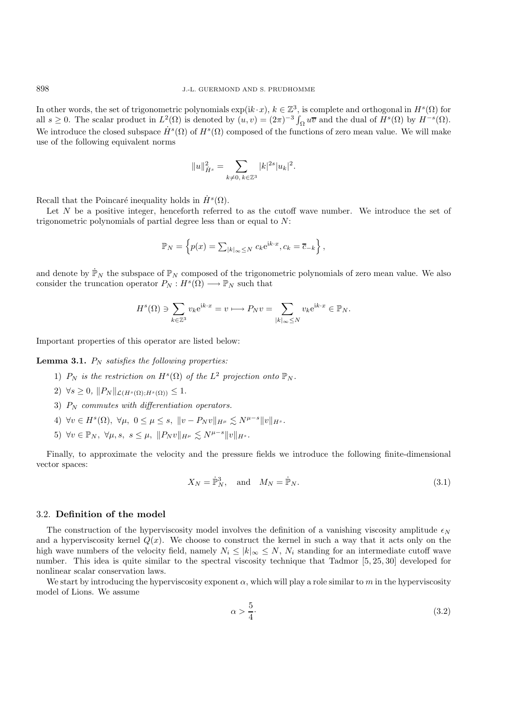In other words, the set of trigonometric polynomials  $\exp(ik \cdot x)$ ,  $k \in \mathbb{Z}^3$ , is complete and orthogonal in  $H^s(\Omega)$  for all  $s \geq 0$ . The scalar product in  $L^2(\Omega)$  is denoted by  $(u, v) = (2\pi)^{-3} \int_{\Omega} u \overline{v}$  and the dual of  $H^s(\Omega)$  by  $H^{-s}(\Omega)$ . We introduce the closed subspace  $\dot{H}^s(\Omega)$  of  $H^s(\Omega)$  composed of the functions of zero mean value. We will make use of the following equivalent norms

$$
||u||_{\dot{H}^s}^2 = \sum_{k\neq 0,\,k\in\mathbb{Z}^3} |k|^{2s}|u_k|^2.
$$

Recall that the Poincaré inequality holds in  $H<sup>s</sup>(\Omega)$ .

Let  $N$  be a positive integer, henceforth referred to as the cutoff wave number. We introduce the set of trigonometric polynomials of partial degree less than or equal to  $N$ :

$$
\mathbb{P}_N = \left\{ p(x) = \sum_{|k| \in \mathbb{N}} c_k e^{ik \cdot x}, c_k = \overline{c}_{-k} \right\},\,
$$

and denote by  $\dot{\mathbb{P}}_N$  the subspace of  $\mathbb{P}_N$  composed of the trigonometric polynomials of zero mean value. We also consider the truncation operator  $P_N : H^s(\Omega) \longrightarrow \mathbb{P}_N$  such that

$$
H^{s}(\Omega) \ni \sum_{k \in \mathbb{Z}^3} v_k e^{ik \cdot x} = v \longmapsto P_N v = \sum_{|k|_{\infty} \le N} v_k e^{ik \cdot x} \in \mathbb{P}_N.
$$

Important properties of this operator are listed below:

#### **Lemma 3.1.**  $P_N$  *satisfies the following properties:*

- 1)  $P_N$  *is the restriction on*  $H^s(\Omega)$  *of the*  $L^2$  *projection onto*  $\mathbb{P}_N$ *.*
- 2)  $\forall s \geq 0, \|P_N\|_{\mathcal{L}(H^s(\Omega) \cdot H^s(\Omega))} \leq 1.$
- 3) P<sup>N</sup> *commutes with differentiation operators.*
- 4)  $\forall v \in H^s(\Omega)$ ,  $\forall \mu, 0 \leq \mu \leq s$ ,  $||v P_N v||_{H^{\mu}} \leq N^{\mu-s}||v||_{H^s}$ .
- 5)  $\forall v \in \mathbb{P}_N, \ \forall \mu, s, \ s \leq \mu, \ \|P_N v\|_{H^\mu} \leq N^{\mu-s} \|v\|_{H^s}.$

Finally, to approximate the velocity and the pressure fields we introduce the following finite-dimensional vector spaces:

$$
X_N = \dot{\mathbb{P}}_N^3, \quad \text{and} \quad M_N = \dot{\mathbb{P}}_N. \tag{3.1}
$$

#### 3.2. **Definition of the model**

The construction of the hyperviscosity model involves the definition of a vanishing viscosity amplitude  $\epsilon_N$ and a hyperviscosity kernel  $Q(x)$ . We choose to construct the kernel in such a way that it acts only on the high wave numbers of the velocity field, namely  $N_i \leq |k|_{\infty} \leq N$ ,  $N_i$  standing for an intermediate cutoff wave number. This idea is quite similar to the spectral viscosity technique that Tadmor [5, 25, 30] developed for nonlinear scalar conservation laws.

We start by introducing the hyperviscosity exponent  $\alpha$ , which will play a role similar to m in the hyperviscosity model of Lions. We assume

$$
\alpha > \frac{5}{4}.\tag{3.2}
$$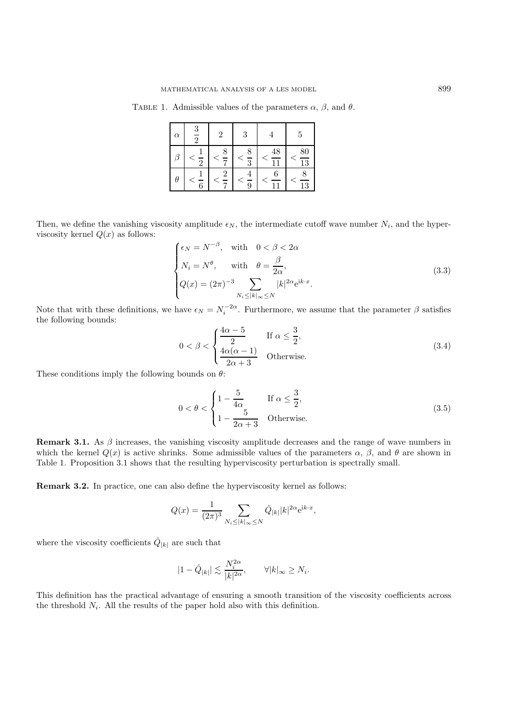TABLE 1. Admissible values of the parameters  $\alpha$ ,  $\beta$ , and  $\theta$ .

| $\alpha$ |               | 2           | 3             |                                | 5               |
|----------|---------------|-------------|---------------|--------------------------------|-----------------|
|          | -             | $\tilde{=}$ | $\frac{1}{3}$ | 48<br>$\overline{\phantom{1}}$ | $\frac{80}{13}$ |
| θ        | $\frac{1}{6}$ | Ξ           | $\frac{1}{9}$ | 7                              | $\frac{1}{13}$  |

Then, we define the vanishing viscosity amplitude  $\epsilon_N$ , the intermediate cutoff wave number  $N_i$ , and the hyperviscosity kernel  $Q(x)$  as follows:

$$
\begin{cases}\n\epsilon_N = N^{-\beta}, & \text{with } 0 < \beta < 2\alpha \\
N_i = N^{\theta}, & \text{with } \theta = \frac{\beta}{2\alpha}, \\
Q(x) = (2\pi)^{-3} \sum_{N_i \le |k|_{\infty} \le N} |k|^{2\alpha} e^{ik \cdot x}.\n\end{cases}
$$
\n(3.3)

Note that with these definitions, we have  $\epsilon_N = N_i^{-2\alpha}$ . Furthermore, we assume that the parameter  $\beta$  satisfies the following bounds:

$$
0 < \beta < \begin{cases} \frac{4\alpha - 5}{2} & \text{If } \alpha \le \frac{3}{2}, \\ \frac{4\alpha(\alpha - 1)}{2\alpha + 3} & \text{Otherwise.} \end{cases} \tag{3.4}
$$

These conditions imply the following bounds on  $\theta$ :

$$
0 < \theta < \begin{cases} 1 - \frac{5}{4\alpha} & \text{If } \alpha \le \frac{3}{2}, \\ 1 - \frac{5}{2\alpha + 3} & \text{Otherwise.} \end{cases}
$$
 (3.5)

**Remark 3.1.** As  $\beta$  increases, the vanishing viscosity amplitude decreases and the range of wave numbers in which the kernel  $Q(x)$  is active shrinks. Some admissible values of the parameters  $\alpha$ ,  $\beta$ , and  $\theta$  are shown in Table 1. Proposition 3.1 shows that the resulting hyperviscosity perturbation is spectrally small.

**Remark 3.2.** In practice, one can also define the hyperviscosity kernel as follows:

$$
Q(x) = \frac{1}{(2\pi)^3} \sum_{N_i \le |k|_{\infty} \le N} \hat{Q}_{|k|} |k|^{2\alpha} e^{ik \cdot x},
$$

where the viscosity coefficients  $\hat{Q}_{|k|}$  are such that

$$
|1-\hat{Q}_{|k|}|\lesssim \frac{N_i^{2\alpha}}{|k|^{2\alpha}},\qquad \forall |k|_{\infty}\geq N_i.
$$

This definition has the practical advantage of ensuring a smooth transition of the viscosity coefficients across the threshold  $N_i$ . All the results of the paper hold also with this definition.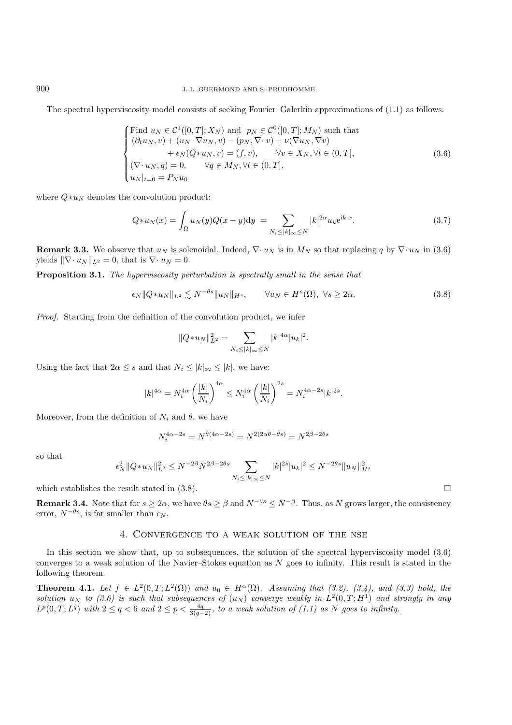The spectral hyperviscosity model consists of seeking Fourier–Galerkin approximations of (1.1) as follows:

Find 
$$
u_N \in C^1([0, T]; X_N)
$$
 and  $p_N \in C^0([0, T]; M_N)$  such that  
\n
$$
(\partial_t u_N, v) + (u_N \cdot \nabla u_N, v) - (p_N, \nabla \cdot v) + \nu(\nabla u_N, \nabla v)
$$
\n
$$
+ \epsilon_N(Q*u_N, v) = (f, v), \qquad \forall v \in X_N, \forall t \in (0, T],
$$
\n
$$
(\nabla \cdot u_N, q) = 0, \qquad \forall q \in M_N, \forall t \in (0, T],
$$
\n
$$
(3.6)
$$
\n
$$
u_N|_{t=0} = P_N u_0
$$

where  $Q\ast u_N$  denotes the convolution product:

$$
Q * u_N(x) = \int_{\Omega} u_N(y) Q(x - y) dy = \sum_{N_i \le |k|_{\infty} \le N} |k|^{2\alpha} u_k e^{ik \cdot x}.
$$
 (3.7)

**Remark 3.3.** We observe that  $u_N$  is solenoidal. Indeed,  $\nabla \cdot u_N$  is in  $M_N$  so that replacing q by  $\nabla \cdot u_N$  in (3.6) yields  $\|\nabla \cdot u_N\|_{L^2} = 0$ , that is  $\nabla \cdot u_N = 0$ .

**Proposition 3.1.** *The hyperviscosity perturbation is spectrally small in the sense that*

$$
\epsilon_N \|Q \ast u_N\|_{L^2} \lesssim N^{-\theta s} \|u_N\|_{H^s}, \qquad \forall u_N \in H^s(\Omega), \ \forall s \ge 2\alpha. \tag{3.8}
$$

*Proof.* Starting from the definition of the convolution product, we infer

$$
||Q*u_N||_{L^2}^2 = \sum_{N_i \le |k|_{\infty} \le N} |k|^{4\alpha} |u_k|^2.
$$

Using the fact that  $2\alpha \leq s$  and that  $N_i \leq |k|_{\infty} \leq |k|$ , we have:

$$
|k|^{4\alpha} = N_i^{4\alpha} \left(\frac{|k|}{N_i}\right)^{4\alpha} \le N_i^{4\alpha} \left(\frac{|k|}{N_i}\right)^{2s} = N_i^{4\alpha - 2s} |k|^{2s}.
$$

Moreover, from the definition of  $N_i$  and  $\theta$ , we have

$$
N_i^{4\alpha - 2s} = N^{\theta(4\alpha - 2s)} = N^{2(2\alpha\theta - \theta s)} = N^{2\beta - 2\theta s}
$$

so that

$$
\epsilon_N^2 \|Q*u_N\|_{L^2}^2 \le N^{-2\beta} N^{2\beta-2\theta s} \sum_{N_i \le |k|_\infty \le N} |k|^{2s} |u_k|^2 \le N^{-2\theta s} \|u_N\|_{H^s}^2
$$

which establishes the result stated in  $(3.8)$ .

**Remark 3.4.** Note that for  $s \geq 2\alpha$ , we have  $\theta s \geq \beta$  and  $N^{-\theta s} \leq N^{-\beta}$ . Thus, as N grows larger, the consistency error,  $N^{-\theta s}$ , is far smaller than  $\epsilon_N$ .

# 4. Convergence to a weak solution of the nse

In this section we show that, up to subsequences, the solution of the spectral hyperviscosity model (3.6) converges to a weak solution of the Navier–Stokes equation as  $N$  goes to infinity. This result is stated in the following theorem.

**Theorem 4.1.** *Let*  $f \in L^2(0,T;L^2(\Omega))$  *and*  $u_0 \in H^{\alpha}(\Omega)$ *. Assuming that (3.2), (3.4), and (3.3) hold, the solution*  $u_N$  *to* (3.6) is such that subsequences of  $(u_N)$  converge weakly in  $L^2(0,T;H^1)$  and strongly in any  $L^p(0,T;L^q)$  with  $2 \leq q < 6$  and  $2 \leq p < \frac{4q}{3(q-2)}$ , to a weak solution of (1.1) as N goes to infinity.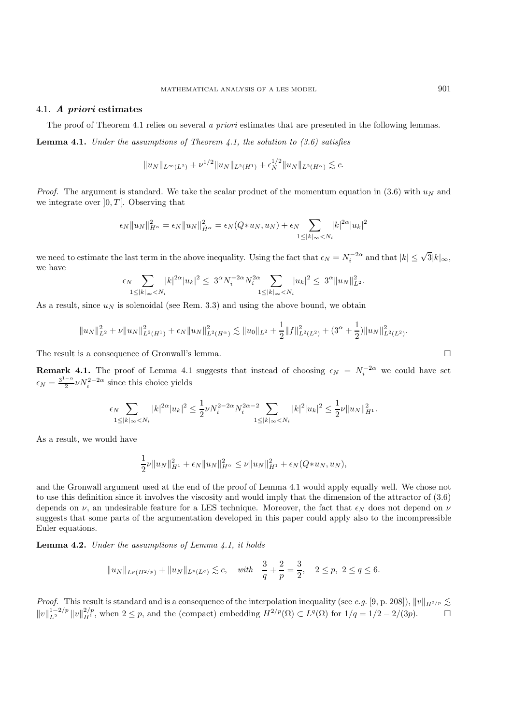#### 4.1. *A priori* **estimates**

The proof of Theorem 4.1 relies on several *a priori* estimates that are presented in the following lemmas.

**Lemma 4.1.** *Under the assumptions of Theorem 4.1, the solution to (3.6) satisfies*

$$
\|u_N\|_{L^\infty(L^2)} + \nu^{1/2} \|u_N\|_{L^2(H^1)} + \epsilon_N^{1/2} \|u_N\|_{L^2(H^\alpha)} \lesssim c.
$$

*Proof.* The argument is standard. We take the scalar product of the momentum equation in (3.6) with  $u_N$  and we integrate over  $[0, T]$ . Observing that

$$
\epsilon_N \|u_N\|_{H^{\alpha}}^2 = \epsilon_N \|u_N\|_{\dot{H}^{\alpha}}^2 = \epsilon_N(Q*u_N, u_N) + \epsilon_N \sum_{1 \le |k|_{\infty} < N_i} |k|^{2\alpha} |u_k|^2
$$

we need to estimate the last term in the above inequality. Using the fact that  $\epsilon_N = N_i^{-2\alpha}$  and that  $|k| \leq \sqrt{3}|k|_{\infty}$ , we have

$$
\epsilon_N \sum_{1 \leq |k|_{\infty} < N_i} |k|^{2\alpha} |u_k|^2 \leq 3^{\alpha} N_i^{-2\alpha} N_i^{2\alpha} \sum_{1 \leq |k|_{\infty} < N_i} |u_k|^2 \leq 3^{\alpha} \|u_N\|_{L^2}^2.
$$

As a result, since  $u_N$  is solenoidal (see Rem. 3.3) and using the above bound, we obtain

$$
||u_N||_{L^2}^2 + \nu ||u_N||_{L^2(H^1)}^2 + \epsilon_N ||u_N||_{L^2(H^\alpha)}^2 \lesssim ||u_0||_{L^2} + \frac{1}{2}||f||_{L^2(L^2)}^2 + (3^\alpha + \frac{1}{2})||u_N||_{L^2(L^2)}^2.
$$

The result is a consequence of Gronwall's lemma.

**Remark 4.1.** The proof of Lemma 4.1 suggests that instead of choosing  $\epsilon_N = N_i^{-2\alpha}$  we could have set  $\epsilon_N = \frac{3^{1-\alpha}}{2} \nu N_i^{2-2\alpha}$  since this choice yields

$$
\epsilon_N \sum_{1 \le |k|_{\infty} < N_i} |k|^{2\alpha} |u_k|^2 \le \frac{1}{2} \nu N_i^{2-2\alpha} N_i^{2\alpha-2} \sum_{1 \le |k|_{\infty} < N_i} |k|^2 |u_k|^2 \le \frac{1}{2} \nu \|u_N\|_{H^1}^2.
$$

As a result, we would have

$$
\frac{1}{2}\nu\|u_N\|_{H^1}^2 + \epsilon_N\|u_N\|_{H^\alpha}^2 \le \nu\|u_N\|_{H^1}^2 + \epsilon_N(Q*u_N, u_N),
$$

and the Gronwall argument used at the end of the proof of Lemma 4.1 would apply equally well. We chose not to use this definition since it involves the viscosity and would imply that the dimension of the attractor of (3.6) depends on  $\nu$ , an undesirable feature for a LES technique. Moreover, the fact that  $\epsilon_N$  does not depend on  $\nu$ suggests that some parts of the argumentation developed in this paper could apply also to the incompressible Euler equations.

**Lemma 4.2.** *Under the assumptions of Lemma 4.1, it holds*

$$
||u_N||_{L^p(H^{2/p})} + ||u_N||_{L^p(L^q)} \lesssim c
$$
, with  $\frac{3}{q} + \frac{2}{p} = \frac{3}{2}$ ,  $2 \le p, 2 \le q \le 6$ .

*Proof.* This result is standard and is a consequence of the interpolation inequality (see *e.g.* [9, p. 208]),  $||v||_{H^{2/p}} \lesssim$  $||v||_{L^2}^{1-2/p} ||v||_{H^1}^{2/p}$ , when  $2 \leq p$ , and the (compact) embedding  $H^{2/p}(\Omega) \subset L^q(\Omega)$  for  $1/q = 1/2 - 2/(3p)$ .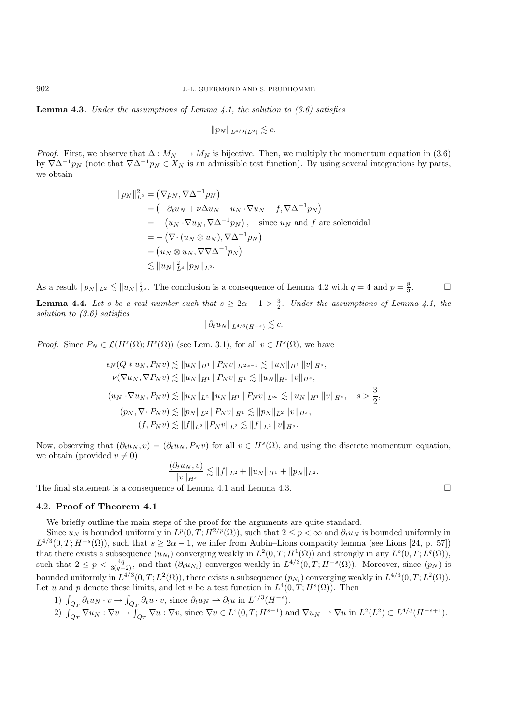**Lemma 4.3.** *Under the assumptions of Lemma 4.1, the solution to (3.6) satisfies*

$$
\|p_N\|_{L^{4/3}(L^2)}\lesssim c.
$$

*Proof.* First, we observe that  $\Delta : M_N \longrightarrow M_N$  is bijective. Then, we multiply the momentum equation in (3.6) by  $\nabla \Delta^{-1}p_N$  (note that  $\nabla \Delta^{-1}p_N \in X_N$  is an admissible test function). By using several integrations by parts, we obtain

$$
||p_N||_{L^2}^2 = (\nabla p_N, \nabla \Delta^{-1} p_N)
$$
  
=  $(-\partial_t u_N + \nu \Delta u_N - u_N \cdot \nabla u_N + f, \nabla \Delta^{-1} p_N)$   
=  $-(u_N \cdot \nabla u_N, \nabla \Delta^{-1} p_N),$  since  $u_N$  and  $f$  are solenoidal  
=  $-(\nabla \cdot (u_N \otimes u_N), \nabla \Delta^{-1} p_N)$   
=  $(u_N \otimes u_N, \nabla \nabla \Delta^{-1} p_N)$   
 $\lesssim ||u_N||_{L^4}^2 ||p_N||_{L^2}.$ 

As a result  $||p_N||_{L^2} \lesssim ||u_N||_{L^4}^2$ . The conclusion is a consequence of Lemma 4.2 with  $q = 4$  and  $p = \frac{8}{3}$ . **Lemma 4.4.** Let s be a real number such that  $s \geq 2\alpha - 1 > \frac{3}{2}$ . Under the assumptions of Lemma 4.1, the *solution to (3.6) satisfies*

$$
\|\partial_t u_N\|_{L^{4/3}(H^{-s})} \lesssim c.
$$

*Proof.* Since  $P_N \in \mathcal{L}(H^s(\Omega); H^s(\Omega))$  (see Lem. 3.1), for all  $v \in H^s(\Omega)$ , we have

$$
\epsilon_N(Q*u_N, P_Nv) \lesssim ||u_N||_{H^1} ||P_Nv||_{H^{2\alpha-1}} \lesssim ||u_N||_{H^1} ||v||_{H^s},
$$
  
\n
$$
\nu(\nabla u_N, \nabla P_Nv) \lesssim ||u_N||_{H^1} ||P_Nv||_{H^1} \lesssim ||u_N||_{H^1} ||v||_{H^s},
$$
  
\n
$$
(u_N \cdot \nabla u_N, P_Nv) \lesssim ||u_N||_{L^2} ||u_N||_{H^1} ||P_Nv||_{L^\infty} \lesssim ||u_N||_{H^1} ||v||_{H^s}, \quad s > \frac{3}{2},
$$
  
\n
$$
(p_N, \nabla \cdot P_Nv) \lesssim ||p_N||_{L^2} ||P_Nv||_{H^1} \lesssim ||p_N||_{L^2} ||v||_{H^s},
$$
  
\n
$$
(f, P_Nv) \lesssim ||f||_{L^2} ||P_Nv||_{L^2} \lesssim ||f||_{L^2} ||v||_{H^s}.
$$

Now, observing that  $(\partial_t u_N, v) = (\partial_t u_N, P_N v)$  for all  $v \in H^s(\Omega)$ , and using the discrete momentum equation, we obtain (provided  $v \neq 0$ )

$$
\frac{(\partial_t u_N, v)}{\|v\|_{H^s}} \lesssim \|f\|_{L^2} + \|u_N\|_{H^1} + \|p_N\|_{L^2}.
$$

The final statement is a consequence of Lemma 4.1 and Lemma 4.3.

#### 4.2. **Proof of Theorem 4.1**

We briefly outline the main steps of the proof for the arguments are quite standard.

Since  $u_N$  is bounded uniformly in  $L^p(0,T;H^{2/p}(\Omega))$ , such that  $2 \leq p \leq \infty$  and  $\partial_t u_N$  is bounded uniformly in  $L^{4/3}(0,T;H^{-s}(\Omega))$ , such that  $s \geq 2\alpha - 1$ , we infer from Aubin–Lions compacity lemma (see Lions [24, p. 57]) that there exists a subsequence  $(u_{N_l})$  converging weakly in  $L^2(0,T;H^1(\Omega))$  and strongly in any  $L^p(0,T;L^q(\Omega))$ , such that  $2 \le p < \frac{4q}{3(q-2)}$ , and that  $(\partial_t u_{N_l})$  converges weakly in  $L^{4/3}(0,T;H^{-s}(\Omega))$ . Moreover, since  $(p_N)$  is bounded uniformly in  $L^{4/3}(0, T; L^2(\Omega))$ , there exists a subsequence  $(p_{N_l})$  converging weakly in  $L^{4/3}(0, T; L^2(\Omega))$ . Let u and p denote these limits, and let v be a test function in  $L^4(0,T;H^s(\Omega))$ . Then

1)  $\int_{Q_T} \partial_t u_N \cdot v \to \int_{Q_T} \partial_t u \cdot v$ , since  $\partial_t u_N \to \partial_t u$  in  $L^{4/3}(H^{-s})$ . 2)  $\int_{Q_T} \nabla u_N : \nabla v \to \int_{Q_T} \nabla u : \nabla v$ , since  $\nabla v \in L^4(0,T;H^{s-1})$  and  $\nabla u_N \to \nabla u$  in  $L^2(L^2) \subset L^{4/3}(H^{-s+1})$ .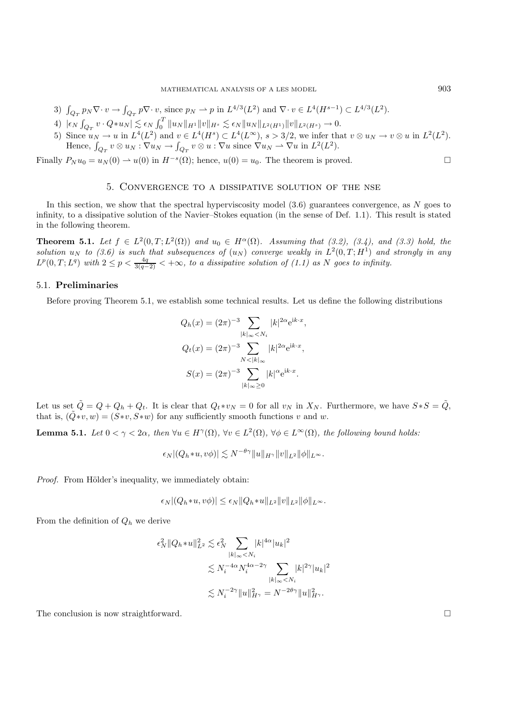- 3)  $\int_{Q_T} p_N \nabla \cdot v \to \int_{Q_T} p \nabla \cdot v$ , since  $p_N \to p$  in  $L^{4/3}(L^2)$  and  $\nabla \cdot v \in L^4(H^{s-1}) \subset L^{4/3}(L^2)$ .
- $4)$   $|\epsilon_N \int_{Q_T} v \cdot Q*u_N| \lesssim \epsilon_N \int_0^T \|u_N\|_{H^1} \|v\|_{H^s} \lesssim \epsilon_N \|u_N\|_{L^2(H^1)} \|v\|_{L^2(H^s)} \to 0.$
- 5) Since  $u_N \to u$  in  $L^4(L^2)$  and  $v \in L^4(H^s) \subset L^4(L^\infty)$ ,  $s > 3/2$ , we infer that  $v \otimes u_N \to v \otimes u$  in  $L^2(L^2)$ . Hence,  $\int_{Q_T} v \otimes u_N : \nabla u_N \to \int_{Q_T} v \otimes u : \nabla u$  since  $\nabla u_N \to \nabla u$  in  $L^2(L^2)$ .

Finally  $P_N u_0 = u_N(0) \to u(0)$  in  $H^{-s}(\Omega)$ ; hence,  $u(0) = u_0$ . The theorem is proved.

#### 5. Convergence to a dissipative solution of the nse

In this section, we show that the spectral hyperviscosity model  $(3.6)$  guarantees convergence, as N goes to infinity, to a dissipative solution of the Navier–Stokes equation (in the sense of Def. 1.1). This result is stated in the following theorem.

**Theorem 5.1.** *Let*  $f \in L^2(0,T;L^2(\Omega))$  *and*  $u_0 \in H^{\alpha}(\Omega)$ *. Assuming that* (3.2), (3.4), *and* (3.3) *hold, the solution*  $u_N$  to (3.6) is such that subsequences of  $(u_N)$  converge weakly in  $L^2(0,T;H^1)$  and strongly in any  $L^p(0,T;L^q)$  with  $2 \leq p < \frac{4q}{3(q-2)} < +\infty$ , to a dissipative solution of (1.1) as N goes to infinity.

#### 5.1. **Preliminaries**

Before proving Theorem 5.1, we establish some technical results. Let us define the following distributions

$$
Q_h(x) = (2\pi)^{-3} \sum_{|k|_{\infty} < N_i} |k|^{2\alpha} e^{ik \cdot x},
$$
  
\n
$$
Q_t(x) = (2\pi)^{-3} \sum_{N < |k|_{\infty}} |k|^{2\alpha} e^{ik \cdot x},
$$
  
\n
$$
S(x) = (2\pi)^{-3} \sum_{|k|_{\infty} \ge 0} |k|^{\alpha} e^{ik \cdot x}.
$$

Let us set  $\tilde{Q} = Q + Q_h + Q_t$ . It is clear that  $Q_t * v_N = 0$  for all  $v_N$  in  $X_N$ . Furthermore, we have  $S * S = \tilde{Q}$ , that is,  $(\tilde{Q} * v, w) = (S * v, S * w)$  for any sufficiently smooth functions v and w.

**Lemma 5.1.** *Let*  $0 < \gamma < 2\alpha$ *, then*  $\forall u \in H^{\gamma}(\Omega)$ *,*  $\forall v \in L^{2}(\Omega)$ *,*  $\forall \phi \in L^{\infty}(\Omega)$ *, the following bound holds:* 

$$
\epsilon_N|(Q_h*u,v\phi)|\lesssim N^{-\theta\gamma}\|u\|_{H^\gamma}\|v\|_{L^2}\|\phi\|_{L^\infty}.
$$

*Proof.* From Hölder's inequality, we immediately obtain:

$$
\epsilon_N|(Q_h*u,v\phi)|\leq \epsilon_N\|Q_h*u\|_{L^2}\|v\|_{L^2}\|\phi\|_{L^\infty}.
$$

From the definition of  $Q_h$  we derive

$$
\epsilon_N^2 \|Q_h * u\|_{L^2}^2 \lesssim \epsilon_N^2 \sum_{|k|_{\infty} < N_i} |k|^{4\alpha} |u_k|^2
$$
\n
$$
\lesssim N_i^{-4\alpha} N_i^{4\alpha - 2\gamma} \sum_{|k|_{\infty} < N_i} |k|^{2\gamma} |u_k|^2
$$
\n
$$
\lesssim N_i^{-2\gamma} \|u\|_{H^\gamma}^2 = N^{-2\theta\gamma} \|u\|_{H^\gamma}^2.
$$

The conclusion is now straightforward.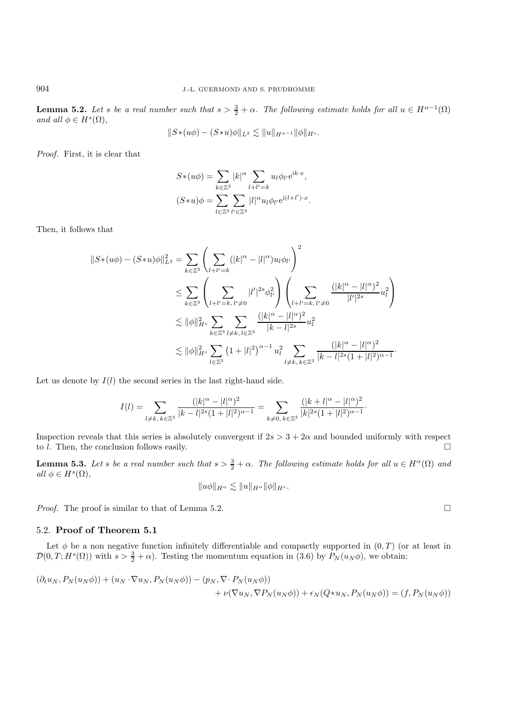**Lemma 5.2.** *Let* s *be a real number such that*  $s > \frac{3}{2} + \alpha$ . The following estimate holds for all  $u \in H^{\alpha-1}(\Omega)$ *and all*  $\phi \in H^s(\Omega)$ *,* 

$$
||S*(u\phi) - (S*u)\phi||_{L^2} \lesssim ||u||_{H^{\alpha-1}} ||\phi||_{H^s}.
$$

*Proof.* First, it is clear that

$$
S*(u\phi) = \sum_{k \in \mathbb{Z}^3} |k|^{\alpha} \sum_{l+l'=k} u_l \phi_{l'} e^{ik \cdot x},
$$
  

$$
(S*u)\phi = \sum_{l \in \mathbb{Z}^3} \sum_{l' \in \mathbb{Z}^3} |l|^{\alpha} u_l \phi_{l'} e^{i(l+l') \cdot x}.
$$

Then, it follows that

$$
||S*(u\phi) - (S*u)\phi||_{L^{2}}^{2} = \sum_{k \in \mathbb{Z}^{3}} \left( \sum_{l+l'=k} (|k|^{\alpha} - |l|^{\alpha}) u_{l} \phi_{l'} \right)^{2}
$$
  
\n
$$
\leq \sum_{k \in \mathbb{Z}^{3}} \left( \sum_{l+l'=k, l' \neq 0} |l'|^{2s} \phi_{l'}^{2} \right) \left( \sum_{l+l'=k, l' \neq 0} \frac{(|k|^{\alpha} - |l|^{\alpha})^{2}}{|l'|^{2s}} u_{l}^{2} \right)
$$
  
\n
$$
\lesssim ||\phi||_{H^{s}}^{2} \sum_{k \in \mathbb{Z}^{3}} \sum_{l \neq k, l \in \mathbb{Z}^{3}} \frac{(|k|^{\alpha} - |l|^{\alpha})^{2}}{|k-l|^{2s}} u_{l}^{2}
$$
  
\n
$$
\lesssim ||\phi||_{H^{s}}^{2} \sum_{l \in \mathbb{Z}^{3}} (1 + |l|^{2})^{\alpha-1} u_{l}^{2} \sum_{l \neq k, k \in \mathbb{Z}^{3}} \frac{(|k|^{\alpha} - |l|^{\alpha})^{2}}{|k-l|^{2s}(1 + |l|^{2})^{\alpha-1}}.
$$

Let us denote by  $I(l)$  the second series in the last right-hand side.

$$
I(l)=\sum_{l\neq k,\,k\in\mathbb{Z}^3}\frac{(|k|^\alpha-|l|^\alpha)^2}{|k-l|^{2s}(1+|l|^2)^{\alpha-1}}=\sum_{k\neq 0,\,k\in\mathbb{Z}^3}\frac{(|k+l|^\alpha-|l|^\alpha)^2}{|k|^{2s}(1+|l|^2)^{\alpha-1}}.
$$

Inspection reveals that this series is absolutely convergent if  $2s > 3+2\alpha$  and bounded uniformly with respect to *l*. Then, the conclusion follows easily.  $\Box$ 

**Lemma 5.3.** Let s be a real number such that  $s > \frac{3}{2} + \alpha$ . The following estimate holds for all  $u \in H^{\alpha}(\Omega)$  and  $all \phi \in H^s(\Omega)$ ,

$$
\|u\phi\|_{H^\alpha} \lesssim \|u\|_{H^\alpha}\|\phi\|_{H^s}.
$$

*Proof.* The proof is similar to that of Lemma 5.2. □

#### 5.2. **Proof of Theorem 5.1**

Let  $\phi$  be a non negative function infinitely differentiable and compactly supported in  $(0, T)$  (or at least in  $\mathcal{D}(0,T;H^s(\Omega))$  with  $s>\frac{3}{2}+\alpha$ ). Testing the momentum equation in (3.6) by  $P_N(u_N\phi)$ , we obtain:

$$
(\partial_t u_N, P_N(u_N\phi)) + (u_N \cdot \nabla u_N, P_N(u_N\phi)) - (p_N, \nabla \cdot P_N(u_N\phi))
$$
  
+  $\nu(\nabla u_N, \nabla P_N(u_N\phi)) + \epsilon_N(Q*u_N, P_N(u_N\phi)) = (f, P_N(u_N\phi))$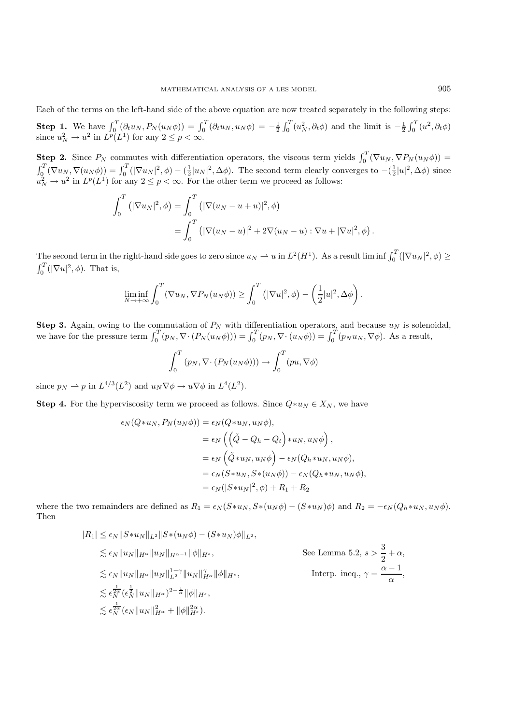**Step 1.** We have  $\int_0^T (\partial_t u_N, P_N(u_N \phi)) = \int_0^T (\partial_t u_N, u_N \phi) = -\frac{1}{2} \int_0^T (u_N^2, \partial_t \phi)$  and the limit is  $-\frac{1}{2} \int_0^T (u^2, \partial_t \phi)$ since  $u_N^2 \to u^2$  in  $L^p(L^1)$  for any  $2 \le p < \infty$ .

**Step 2.** Since  $P_N$  commutes with differentiation operators, the viscous term yields  $\int_0^T (\nabla u_N, \nabla P_N(u_N \phi))$  =  $\int_{0}^{T} (\nabla u_{N}, \nabla (u_{N}\phi)) = \int_{0}^{T} (|\nabla u_{N}|^{2}, \phi) - (\frac{1}{2}|u_{N}|^{2}, \Delta \phi)$ . The second term clearly converges to  $-(\frac{1}{2}|u|^{2}, \Delta \phi)$  since  $u_N^2 \to u^2$  in  $L^p(L^1)$  for any  $2 \leq p < \infty$ . For the other term we proceed as follows:

$$
\int_0^T (|\nabla u_N|^2, \phi) = \int_0^T (|\nabla (u_N - u + u)|^2, \phi)
$$
  
= 
$$
\int_0^T (|\nabla (u_N - u)|^2 + 2\nabla (u_N - u) : \nabla u + |\nabla u|^2, \phi).
$$

The second term in the right-hand side goes to zero since  $u_N \rightharpoonup u$  in  $L^2(H^1)$ . As a result lim inf  $\int_0^T (|\nabla u_N|^2, \phi) \ge$  $\int_0^T (|\nabla u|^2, \phi)$ . That is,

$$
\liminf_{N \to +\infty} \int_0^T (\nabla u_N, \nabla P_N(u_N \phi)) \ge \int_0^T (|\nabla u|^2, \phi) - \left(\frac{1}{2}|u|^2, \Delta \phi\right).
$$

**Step 3.** Again, owing to the commutation of  $P_N$  with differentiation operators, and because  $u_N$  is solenoidal, we have for the pressure term  $\int_0^T (p_N, \nabla \cdot (P_N(u_N \phi))) = \int_0^T (p_N, \nabla \cdot (u_N \phi)) = \int_0^T (p_N u_N, \nabla \phi)$ . As a result,

$$
\int_0^T (p_N, \nabla \cdot (P_N(u_N \phi))) \to \int_0^T (pu, \nabla \phi)
$$

since  $p_N \rightharpoonup p$  in  $L^{4/3}(L^2)$  and  $u_N \nabla \phi \rightharpoonup u \nabla \phi$  in  $L^4(L^2)$ .

**Step 4.** For the hyperviscosity term we proceed as follows. Since  $Q * u_N \in X_N$ , we have

$$
\epsilon_N(Q*u_N, P_N(u_N\phi)) = \epsilon_N(Q*u_N, u_N\phi),
$$
  
\n
$$
= \epsilon_N\left(\left(\tilde{Q} - Q_h - Q_t\right)*u_N, u_N\phi\right),
$$
  
\n
$$
= \epsilon_N\left(\tilde{Q}*u_N, u_N\phi\right) - \epsilon_N(Q_h*u_N, u_N\phi),
$$
  
\n
$$
= \epsilon_N(S*u_N, S*(u_N\phi)) - \epsilon_N(Q_h*u_N, u_N\phi),
$$
  
\n
$$
= \epsilon_N(|S*u_N|^2, \phi) + R_1 + R_2
$$

where the two remainders are defined as  $R_1 = \epsilon_N (S * u_N, S * (u_N \phi) - (S * u_N) \phi)$  and  $R_2 = -\epsilon_N (Q_h * u_N, u_N \phi)$ . Then

$$
|R_{1}| \leq \epsilon_{N} \|S*u_{N}\|_{L^{2}} \|S*(u_{N}\phi) - (S*u_{N})\phi\|_{L^{2}},
$$
  
\n
$$
\lesssim \epsilon_{N} \|u_{N}\|_{H^{\alpha}} \|u_{N}\|_{H^{\alpha-1}} \|\phi\|_{H^{s}},
$$
  
\n
$$
\lesssim \epsilon_{N} \|u_{N}\|_{H^{\alpha}} \|u_{N}\|_{L^{2}}^{1-\gamma} \|u_{N}\|_{H^{\alpha}}^{2} \|\phi\|_{H^{s}},
$$
  
\n
$$
\lesssim \epsilon_{N}^{\frac{1}{2\alpha}} (\epsilon_{N}^{\frac{1}{2}} \|u_{N}\|_{H^{\alpha}})^{2-\frac{1}{\alpha}} \|\phi\|_{H^{s}},
$$
  
\n
$$
\lesssim \epsilon_{N}^{\frac{1}{2\alpha}} (\epsilon_{N} \|u_{N}\|_{H^{\alpha}})^{2-\frac{1}{\alpha}} \|\phi\|_{H^{s}},
$$
  
\n
$$
\lesssim \epsilon_{N}^{\frac{1}{2\alpha}} (\epsilon_{N} \|u_{N}\|_{H^{\alpha}}^{2} + \|\phi\|_{H^{s}}^{2\alpha}).
$$
  
\nSee Lemma 5.2,  $s > \frac{3}{2} + \alpha$ ,  
\nInterp. ineq.,  $\gamma = \frac{\alpha - 1}{\alpha}$ ,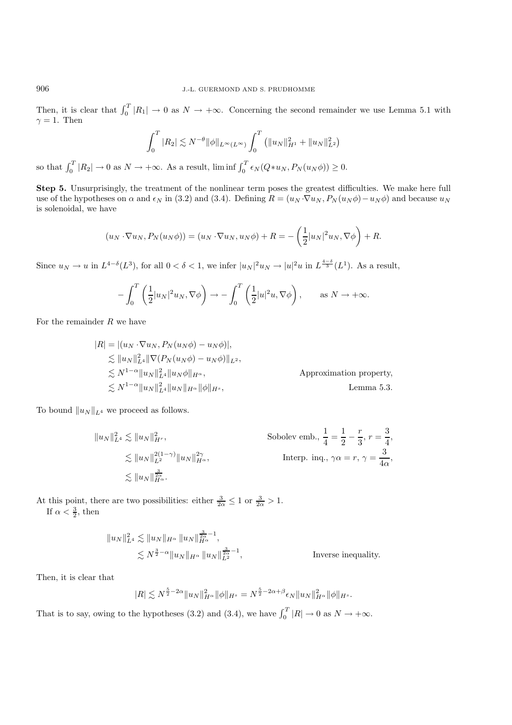Then, it is clear that  $\int_0^T |R_1| \to 0$  as  $N \to +\infty$ . Concerning the second remainder we use Lemma 5.1 with  $\gamma = 1$ . Then

$$
\int_0^T |R_2| \lesssim N^{-\theta} ||\phi||_{L^{\infty}(L^{\infty})} \int_0^T (||u_N||_{H^1}^2 + ||u_N||_{L^2}^2)
$$

so that  $\int_0^T |R_2| \to 0$  as  $N \to +\infty$ . As a result, lim inf  $\int_0^T \epsilon_N(Q*u_N, P_N(u_N\phi)) \ge 0$ .

**Step 5.** Unsurprisingly, the treatment of the nonlinear term poses the greatest difficulties. We make here full use of the hypotheses on  $\alpha$  and  $\epsilon_N$  in (3.2) and (3.4). Defining  $R = (u_N \cdot \nabla u_N, P_N(u_N \phi) - u_N \phi)$  and because  $u_N$ is solenoidal, we have

$$
(u_N \cdot \nabla u_N, P_N(u_N \phi)) = (u_N \cdot \nabla u_N, u_N \phi) + R = -\left(\frac{1}{2}|u_N|^2 u_N, \nabla \phi\right) + R.
$$

Since  $u_N \to u$  in  $L^{4-\delta}(L^3)$ , for all  $0 < \delta < 1$ , we infer  $|u_N|^2 u_N \to |u|^2 u$  in  $L^{\frac{4-\delta}{3}}(L^1)$ . As a result,

$$
-\int_0^T \left(\frac{1}{2}|u_N|^2 u_N, \nabla \phi\right) \to -\int_0^T \left(\frac{1}{2}|u|^2 u, \nabla \phi\right), \quad \text{as } N \to +\infty.
$$

For the remainder  $R$  we have

$$
|R| = |(u_N \cdot \nabla u_N, P_N(u_N \phi) - u_N \phi)|,
$$
  
\n
$$
\lesssim ||u_N||_{L^4}^2 ||\nabla (P_N(u_N \phi) - u_N \phi)||_{L^2},
$$
  
\n
$$
\lesssim N^{1-\alpha} ||u_N||_{L^4}^2 ||u_N \phi||_{H^{\alpha}},
$$
 Approximation property,  
\n
$$
\lesssim N^{1-\alpha} ||u_N||_{L^4}^2 ||u_N||_{H^{\alpha}} ||\phi||_{H^s},
$$
 Lemma 5.3.

To bound  $||u_N||_{L^4}$  we proceed as follows.

$$
||u_N||_{L^4}^2 \lesssim ||u_N||_{H^r}^2,
$$
 Sobolev emb.,  $\frac{1}{4} = \frac{1}{2} - \frac{r}{3}, r = \frac{3}{4},$   
 $\lesssim ||u_N||_{L^2}^{2(1-\gamma)} ||u_N||_{H^\alpha}^{2\gamma},$ Interp. inq.,  $\gamma \alpha = r, \gamma = \frac{3}{4\alpha},$   
 $\lesssim ||u_N||_{H^\alpha}^{\frac{3}{2\alpha}}.$ 

At this point, there are two possibilities: either  $\frac{3}{2\alpha} \leq 1$  or  $\frac{3}{2\alpha} > 1$ . If  $\alpha < \frac{3}{2}$ , then

$$
||u_N||_{L^4}^2 \lesssim ||u_N||_{H^{\alpha}} ||u_N||_{H^{\alpha}}^{\frac{3}{2\alpha}-1},
$$
  

$$
\lesssim N^{\frac{3}{2}-\alpha} ||u_N||_{H^{\alpha}} ||u_N||_{L^2}^{\frac{3}{2\alpha}-1},
$$
 Inverse inequality.

Then, it is clear that

$$
|R| \lesssim N^{\frac{5}{2}-2\alpha} \|u_N\|_{H^\alpha}^2 \|\phi\|_{H^s} = N^{\frac{5}{2}-2\alpha+\beta} \epsilon_N \|u_N\|_{H^\alpha}^2 \|\phi\|_{H^s}.
$$

That is to say, owing to the hypotheses (3.2) and (3.4), we have  $\int_0^T |R| \to 0$  as  $N \to +\infty$ .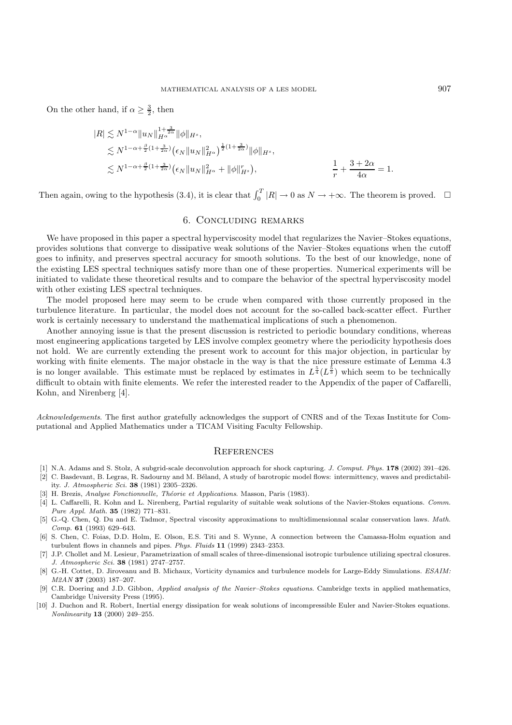On the other hand, if  $\alpha \geq \frac{3}{2}$ , then

$$
|R| \lesssim N^{1-\alpha} \|u_N\|_{H^{\alpha}}^{1+\frac{3}{2\alpha}} \|\phi\|_{H^s},
$$
  
\n
$$
\lesssim N^{1-\alpha+\frac{\beta}{2}(1+\frac{3}{2\alpha})} \left(\epsilon_N \|u_N\|_{H^{\alpha}}^2\right)^{\frac{1}{2}(1+\frac{3}{2\alpha})} \|\phi\|_{H^s},
$$
  
\n
$$
\lesssim N^{1-\alpha+\frac{\beta}{2}(1+\frac{3}{2\alpha})} \left(\epsilon_N \|u_N\|_{H^{\alpha}}^2 + \|\phi\|_{H^s}^r\right),
$$
  
\n
$$
\frac{1}{r} + \frac{3+2\alpha}{4\alpha} = 1.
$$

Then again, owing to the hypothesis (3.4), it is clear that  $\int_0^T |R| \to 0$  as  $N \to +\infty$ . The theorem is proved.  $\Box$ 

## 6. Concluding remarks

We have proposed in this paper a spectral hyperviscosity model that regularizes the Navier–Stokes equations, provides solutions that converge to dissipative weak solutions of the Navier–Stokes equations when the cutoff goes to infinity, and preserves spectral accuracy for smooth solutions. To the best of our knowledge, none of the existing LES spectral techniques satisfy more than one of these properties. Numerical experiments will be initiated to validate these theoretical results and to compare the behavior of the spectral hyperviscosity model with other existing LES spectral techniques.

The model proposed here may seem to be crude when compared with those currently proposed in the turbulence literature. In particular, the model does not account for the so-called back-scatter effect. Further work is certainly necessary to understand the mathematical implications of such a phenomenon.

Another annoying issue is that the present discussion is restricted to periodic boundary conditions, whereas most engineering applications targeted by LES involve complex geometry where the periodicity hypothesis does not hold. We are currently extending the present work to account for this major objection, in particular by working with finite elements. The major obstacle in the way is that the nice pressure estimate of Lemma 4.3 is no longer available. This estimate must be replaced by estimates in  $L^{\frac{5}{4}}(L^{\frac{5}{3}})$  which seem to be technically difficult to obtain with finite elements. We refer the interested reader to the Appendix of the paper of Caffarelli, Kohn, and Nirenberg [4].

Acknowledgements. The first author gratefully acknowledges the support of CNRS and of the Texas Institute for Computational and Applied Mathematics under a TICAM Visiting Faculty Fellowship.

# **REFERENCES**

- [1] N.A. Adams and S. Stolz, A subgrid-scale deconvolution approach for shock capturing. J. Comput. Phys. **178** (2002) 391–426.
- [2] C. Basdevant, B. Legras, R. Sadourny and M. Béland, A study of barotropic model flows: intermittency, waves and predictability. J. Atmospheric Sci. **38** (1981) 2305–2326.
- [3] H. Brezis, Analyse Fonctionnelle, Théorie et Applications. Masson, Paris (1983).
- [4] L. Caffarelli, R. Kohn and L. Nirenberg, Partial regularity of suitable weak solutions of the Navier-Stokes equations. Comm. Pure Appl. Math. **35** (1982) 771–831.
- [5] G.-Q. Chen, Q. Du and E. Tadmor, Spectral viscosity approximations to multidimensionnal scalar conservation laws. Math. Comp. **61** (1993) 629–643.
- [6] S. Chen, C. Foias, D.D. Holm, E. Olson, E.S. Titi and S. Wynne, A connection between the Camassa-Holm equation and turbulent flows in channels and pipes. Phys. Fluids **11** (1999) 2343–2353.
- [7] J.P. Chollet and M. Lesieur, Parametrization of small scales of three-dimensional isotropic turbulence utilizing spectral closures. J. Atmospheric Sci. **38** (1981) 2747–2757.
- [8] G.-H. Cottet, D. Jiroveanu and B. Michaux, Vorticity dynamics and turbulence models for Large-Eddy Simulations. ESAIM: M2AN **37** (2003) 187–207.
- [9] C.R. Doering and J.D. Gibbon, Applied analysis of the Navier–Stokes equations. Cambridge texts in applied mathematics, Cambridge University Press (1995).
- [10] J. Duchon and R. Robert, Inertial energy dissipation for weak solutions of incompressible Euler and Navier-Stokes equations. Nonlinearity **13** (2000) 249–255.